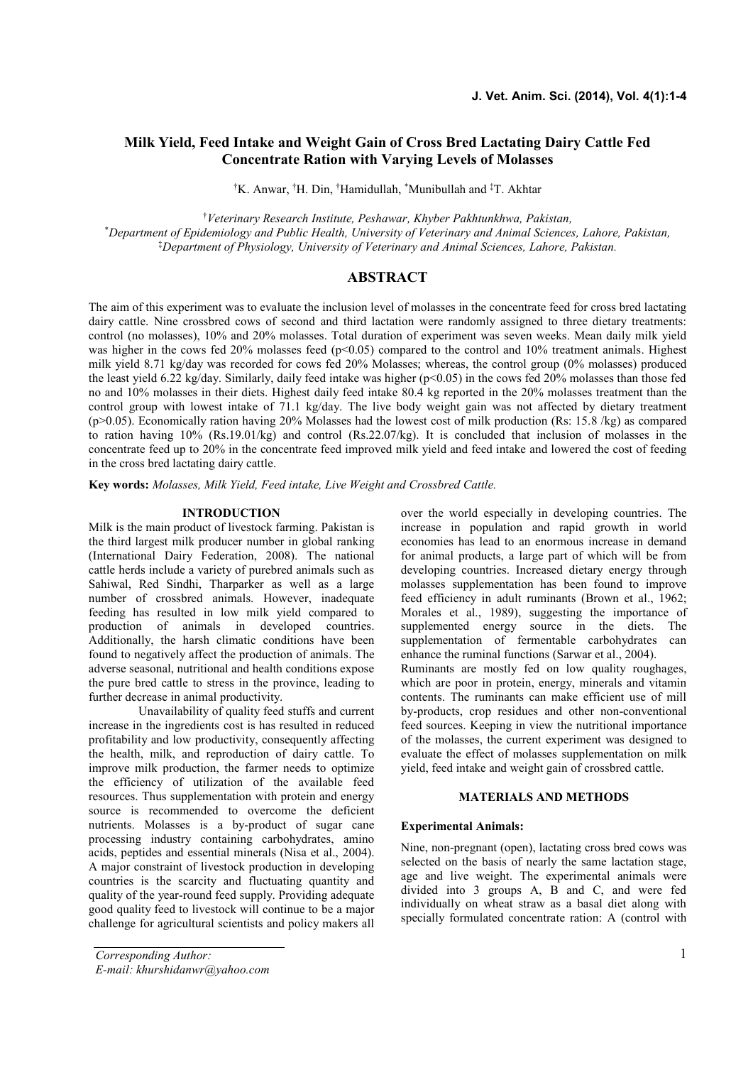# **Milk Yield, Feed Intake and Weight Gain of Cross Bred Lactating Dairy Cattle Fed Concentrate Ration with Varying Levels of Molasses**

†K. Anwar, †H. Din, †Hamidullah, \*Munibullah and ‡T. Akhtar

†*Veterinary Research Institute, Peshawar, Khyber Pakhtunkhwa, Pakistan,*

\**Department of Epidemiology and Public Health, University of Veterinary and Animal Sciences, Lahore, Pakistan,* ‡*Department of Physiology, University of Veterinary and Animal Sciences, Lahore, Pakistan.*

# **ABSTRACT**

The aim of this experiment was to evaluate the inclusion level of molasses in the concentrate feed for cross bred lactating dairy cattle. Nine crossbred cows of second and third lactation were randomly assigned to three dietary treatments: control (no molasses), 10% and 20% molasses. Total duration of experiment was seven weeks. Mean daily milk yield was higher in the cows fed 20% molasses feed (p<0.05) compared to the control and 10% treatment animals. Highest milk yield 8.71 kg/day was recorded for cows fed 20% Molasses; whereas, the control group (0% molasses) produced the least yield 6.22 kg/day. Similarly, daily feed intake was higher ( $p<0.05$ ) in the cows fed 20% molasses than those fed no and 10% molasses in their diets. Highest daily feed intake 80.4 kg reported in the 20% molasses treatment than the control group with lowest intake of 71.1 kg/day. The live body weight gain was not affected by dietary treatment (p>0.05). Economically ration having 20% Molasses had the lowest cost of milk production (Rs: 15.8 /kg) as compared to ration having 10% (Rs.19.01/kg) and control (Rs.22.07/kg). It is concluded that inclusion of molasses in the concentrate feed up to 20% in the concentrate feed improved milk yield and feed intake and lowered the cost of feeding in the cross bred lactating dairy cattle.

**Key words:** *Molasses, Milk Yield, Feed intake, Live Weight and Crossbred Cattle.*

#### **INTRODUCTION**

Milk is the main product of livestock farming. Pakistan is the third largest milk producer number in global ranking (International Dairy Federation, 2008). The national cattle herds include a variety of purebred animals such as Sahiwal, Red Sindhi, Tharparker as well as a large number of crossbred animals. However, inadequate feeding has resulted in low milk yield compared to production of animals in developed countries. Additionally, the harsh climatic conditions have been found to negatively affect the production of animals. The adverse seasonal, nutritional and health conditions expose the pure bred cattle to stress in the province, leading to further decrease in animal productivity.

Unavailability of quality feed stuffs and current increase in the ingredients cost is has resulted in reduced profitability and low productivity, consequently affecting the health, milk, and reproduction of dairy cattle. To improve milk production, the farmer needs to optimize the efficiency of utilization of the available feed resources. Thus supplementation with protein and energy source is recommended to overcome the deficient nutrients. Molasses is a by-product of sugar cane processing industry containing carbohydrates, amino acids, peptides and essential minerals (Nisa et al., 2004). A major constraint of livestock production in developing countries is the scarcity and fluctuating quantity and quality of the year-round feed supply. Providing adequate good quality feed to livestock will continue to be a major challenge for agricultural scientists and policy makers all over the world especially in developing countries. The increase in population and rapid growth in world economies has lead to an enormous increase in demand for animal products, a large part of which will be from developing countries. Increased dietary energy through molasses supplementation has been found to improve feed efficiency in adult ruminants (Brown et al., 1962; Morales et al., 1989), suggesting the importance of supplemented energy source in the diets. The supplementation of fermentable carbohydrates can enhance the ruminal functions (Sarwar et al., 2004). Ruminants are mostly fed on low quality roughages, which are poor in protein, energy, minerals and vitamin contents. The ruminants can make efficient use of mill by-products, crop residues and other non-conventional feed sources. Keeping in view the nutritional importance of the molasses, the current experiment was designed to evaluate the effect of molasses supplementation on milk yield, feed intake and weight gain of crossbred cattle.

# **MATERIALS AND METHODS**

#### **Experimental Animals:**

Nine, non-pregnant (open), lactating cross bred cows was selected on the basis of nearly the same lactation stage, age and live weight. The experimental animals were divided into 3 groups A, B and C, and were fed individually on wheat straw as a basal diet along with specially formulated concentrate ration: A (control with

*Corresponding Author: E-mail: khurshidanwr@yahoo.com*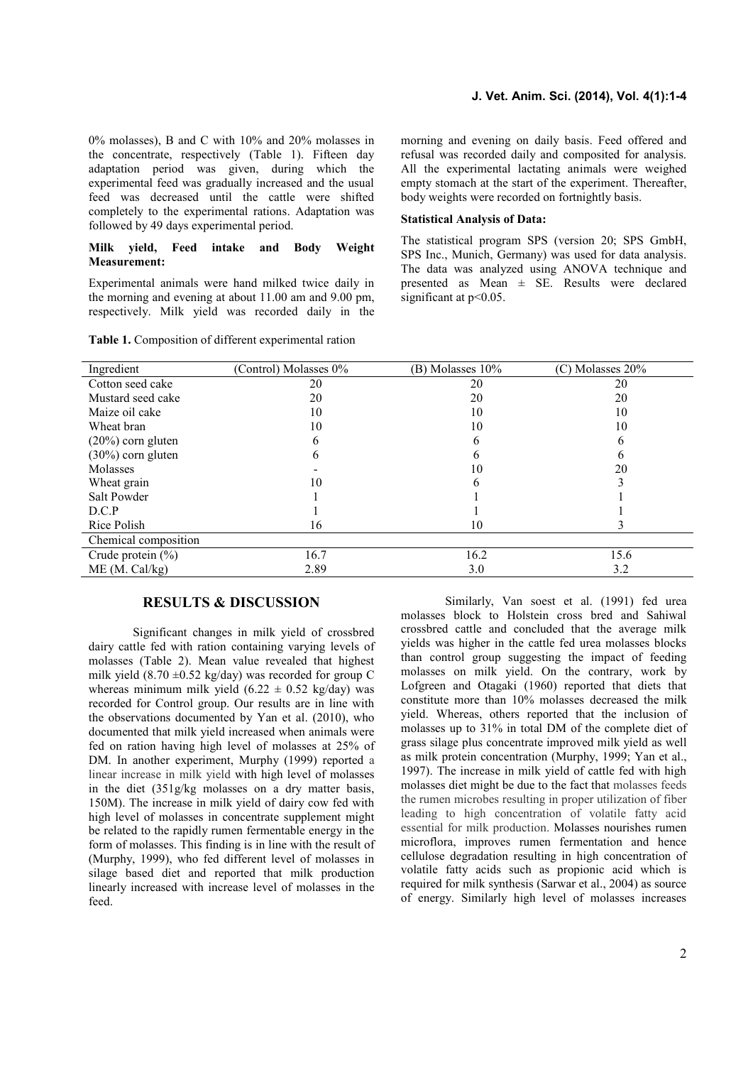0% molasses), B and C with 10% and 20% molasses in the concentrate, respectively (Table 1). Fifteen day adaptation period was given, during which the experimental feed was gradually increased and the usual feed was decreased until the cattle were shifted completely to the experimental rations. Adaptation was followed by 49 days experimental period.

### **Milk yield, Feed intake and Body Weight Measurement:**

Experimental animals were hand milked twice daily in the morning and evening at about 11.00 am and 9.00 pm, respectively. Milk yield was recorded daily in the

| <b>Table 1.</b> Composition of different experimental ration |  |
|--------------------------------------------------------------|--|
|--------------------------------------------------------------|--|

morning and evening on daily basis. Feed offered and refusal was recorded daily and composited for analysis. All the experimental lactating animals were weighed empty stomach at the start of the experiment. Thereafter, body weights were recorded on fortnightly basis.

#### **Statistical Analysis of Data:**

The statistical program SPS (version 20; SPS GmbH, SPS Inc., Munich, Germany) was used for data analysis. The data was analyzed using ANOVA technique and presented as Mean ± SE. Results were declared significant at  $p<0.05$ .

| Ingredient            | (Control) Molasses 0% | (B) Molasses 10% | $(C)$ Molasses 20% |
|-----------------------|-----------------------|------------------|--------------------|
| Cotton seed cake      | 20                    | 20               | 20                 |
| Mustard seed cake     | 20                    | 20               | 20                 |
| Maize oil cake        | 10                    | 10               | 10                 |
| Wheat bran            | 10                    | 10               | 10                 |
| $(20\%)$ corn gluten  |                       | n                |                    |
| $(30\%)$ corn gluten  | n                     | O                |                    |
| Molasses              |                       | 10               | 20                 |
| Wheat grain           | 10                    | b                |                    |
| Salt Powder           |                       |                  |                    |
| D.C.P                 |                       |                  |                    |
| Rice Polish           | 16                    | 10               |                    |
| Chemical composition  |                       |                  |                    |
| Crude protein $(\% )$ | 16.7                  | 16.2             | 15.6               |
| ME (M. Cal/kg)        | 2.89                  | 3.0              | 3.2                |

# **RESULTS & DISCUSSION**

Significant changes in milk yield of crossbred dairy cattle fed with ration containing varying levels of molasses (Table 2). Mean value revealed that highest milk yield  $(8.70 \pm 0.52 \text{ kg/day})$  was recorded for group C whereas minimum milk yield  $(6.22 \pm 0.52 \text{ kg/day})$  was recorded for Control group. Our results are in line with the observations documented by Yan et al. (2010), who documented that milk yield increased when animals were fed on ration having high level of molasses at 25% of DM. In another experiment, Murphy (1999) reported a linear increase in milk yield with high level of molasses in the diet (351g/kg molasses on a dry matter basis, 150M). The increase in milk yield of dairy cow fed with high level of molasses in concentrate supplement might be related to the rapidly rumen fermentable energy in the form of molasses. This finding is in line with the result of (Murphy, 1999), who fed different level of molasses in silage based diet and reported that milk production linearly increased with increase level of molasses in the feed.

Similarly, Van soest et al. (1991) fed urea molasses block to Holstein cross bred and Sahiwal crossbred cattle and concluded that the average milk yields was higher in the cattle fed urea molasses blocks than control group suggesting the impact of feeding molasses on milk yield. On the contrary, work by Lofgreen and Otagaki (1960) reported that diets that constitute more than 10% molasses decreased the milk yield. Whereas, others reported that the inclusion of molasses up to 31% in total DM of the complete diet of grass silage plus concentrate improved milk yield as well as milk protein concentration (Murphy, 1999; Yan et al., 1997). The increase in milk yield of cattle fed with high molasses diet might be due to the fact that molasses feeds the rumen microbes resulting in proper utilization of fiber leading to high concentration of volatile fatty acid essential for milk production. Molasses nourishes rumen microflora, improves rumen fermentation and hence cellulose degradation resulting in high concentration of volatile fatty acids such as propionic acid which is required for milk synthesis (Sarwar et al., 2004) as source of energy. Similarly high level of molasses increases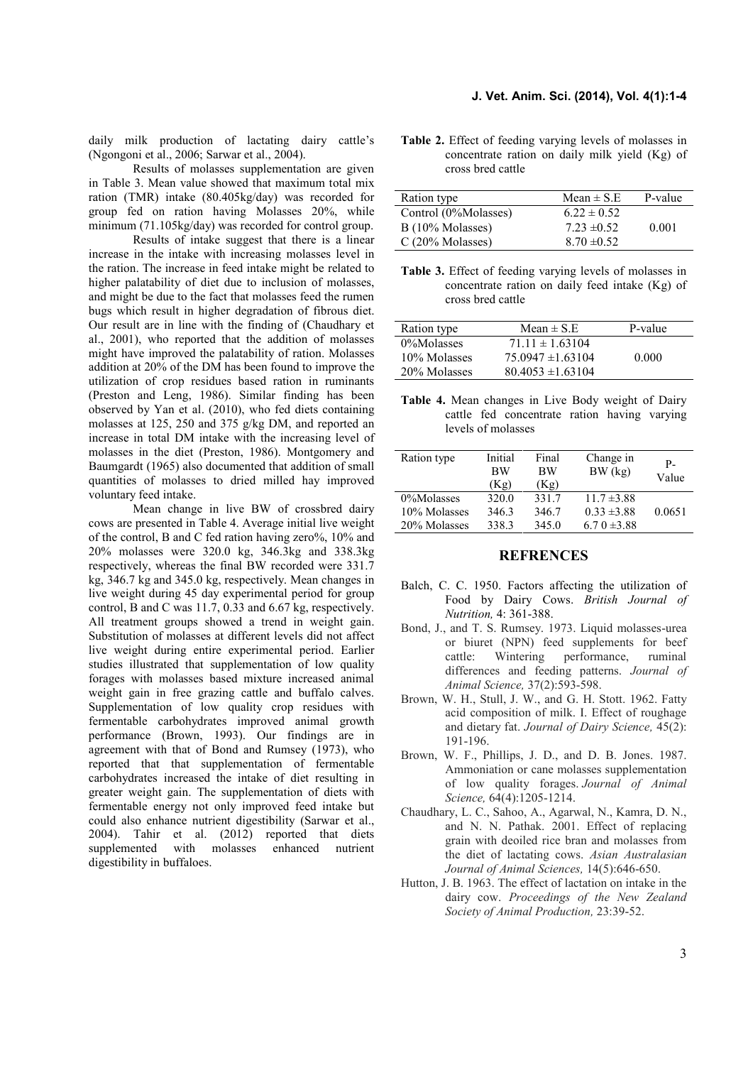daily milk production of lactating dairy cattle's (Ngongoni et al., 2006; Sarwar et al., 2004).

Results of molasses supplementation are given in Table 3. Mean value showed that maximum total mix ration (TMR) intake (80.405kg/day) was recorded for group fed on ration having Molasses 20%, while minimum (71.105kg/day) was recorded for control group.

Results of intake suggest that there is a linear increase in the intake with increasing molasses level in the ration. The increase in feed intake might be related to higher palatability of diet due to inclusion of molasses, and might be due to the fact that molasses feed the rumen bugs which result in higher degradation of fibrous diet. Our result are in line with the finding of (Chaudhary et al., 2001), who reported that the addition of molasses might have improved the palatability of ration. Molasses addition at 20% of the DM has been found to improve the utilization of crop residues based ration in ruminants (Preston and Leng, 1986). Similar finding has been observed by Yan et al. (2010), who fed diets containing molasses at 125, 250 and 375 g/kg DM, and reported an increase in total DM intake with the increasing level of molasses in the diet (Preston, 1986). Montgomery and Baumgardt (1965) also documented that addition of small quantities of molasses to dried milled hay improved voluntary feed intake.

Mean change in live BW of crossbred dairy cows are presented in Table 4. Average initial live weight of the control, B and C fed ration having zero%, 10% and 20% molasses were 320.0 kg, 346.3kg and 338.3kg respectively, whereas the final BW recorded were 331.7 kg, 346.7 kg and 345.0 kg, respectively. Mean changes in live weight during 45 day experimental period for group control, B and C was 11.7, 0.33 and 6.67 kg, respectively. All treatment groups showed a trend in weight gain. Substitution of molasses at different levels did not affect live weight during entire experimental period. Earlier studies illustrated that supplementation of low quality forages with molasses based mixture increased animal weight gain in free grazing cattle and buffalo calves. Supplementation of low quality crop residues with fermentable carbohydrates improved animal growth performance (Brown, 1993). Our findings are in agreement with that of Bond and Rumsey (1973), who reported that that supplementation of fermentable carbohydrates increased the intake of diet resulting in greater weight gain. The supplementation of diets with fermentable energy not only improved feed intake but could also enhance nutrient digestibility (Sarwar et al., 2004). Tahir et al. (2012) reported that diets supplemented with molasses enhanced nutrient digestibility in buffaloes.

**Table 2.** Effect of feeding varying levels of molasses in concentrate ration on daily milk yield (Kg) of cross bred cattle

| Ration type          | Mean $\pm$ S.E. | P-value |
|----------------------|-----------------|---------|
| Control (0%Molasses) | $6.22 \pm 0.52$ |         |
| $B(10\%$ Molasses)   | $7.23 \pm 0.52$ | 0.001   |
| C(20% Molasses)      | $8.70 \pm 0.52$ |         |

**Table 3.** Effect of feeding varying levels of molasses in concentrate ration on daily feed intake (Kg) of cross bred cattle

| Ration type  | Mean $\pm$ S.E        | P-value |
|--------------|-----------------------|---------|
| 0%Molasses   | $71.11 \pm 1.63104$   |         |
| 10% Molasses | $75.0947 \pm 1.63104$ | 0.000   |
| 20% Molasses | $80.4053 \pm 1.63104$ |         |

**Table 4.** Mean changes in Live Body weight of Dairy cattle fed concentrate ration having varying levels of molasses

| Ration type  | Initial<br><b>BW</b> | Final<br><b>BW</b> | Change in<br>BW (kg) | P-<br>Value |
|--------------|----------------------|--------------------|----------------------|-------------|
|              | (Kg)                 | (Kg)               |                      |             |
| 0%Molasses   | 320.0                | 331.7              | $11.7 \pm 3.88$      |             |
| 10% Molasses | 346.3                | 346.7              | $0.33 \pm 3.88$      | 0.0651      |
| 20% Molasses | 338.3                | 345.0              | 6.7 0 $\pm$ 3.88     |             |

### **REFRENCES**

- Balch, C. C. 1950. Factors affecting the utilization of Food by Dairy Cows. *British Journal of Nutrition,* 4: 361-388.
- Bond, J., and T. S. Rumsey. 1973. Liquid molasses-urea or biuret (NPN) feed supplements for beef cattle: Wintering performance, ruminal differences and feeding patterns. *Journal of Animal Science,* 37(2):593-598.
- Brown, W. H., Stull, J. W., and G. H. Stott. 1962. Fatty acid composition of milk. I. Effect of roughage and dietary fat. *Journal of Dairy Science,* 45(2): 191-196.
- Brown, W. F., Phillips, J. D., and D. B. Jones. 1987. Ammoniation or cane molasses supplementation of low quality forages. *Journal of Animal Science,* 64(4):1205-1214.
- Chaudhary, L. C., Sahoo, A., Agarwal, N., Kamra, D. N., and N. N. Pathak. 2001. Effect of replacing grain with deoiled rice bran and molasses from the diet of lactating cows. *Asian Australasian Journal of Animal Sciences,* 14(5):646-650.
- Hutton, J. B. 1963. The effect of lactation on intake in the dairy cow. *Proceedings of the New Zealand Society of Animal Production,* 23:39-52.